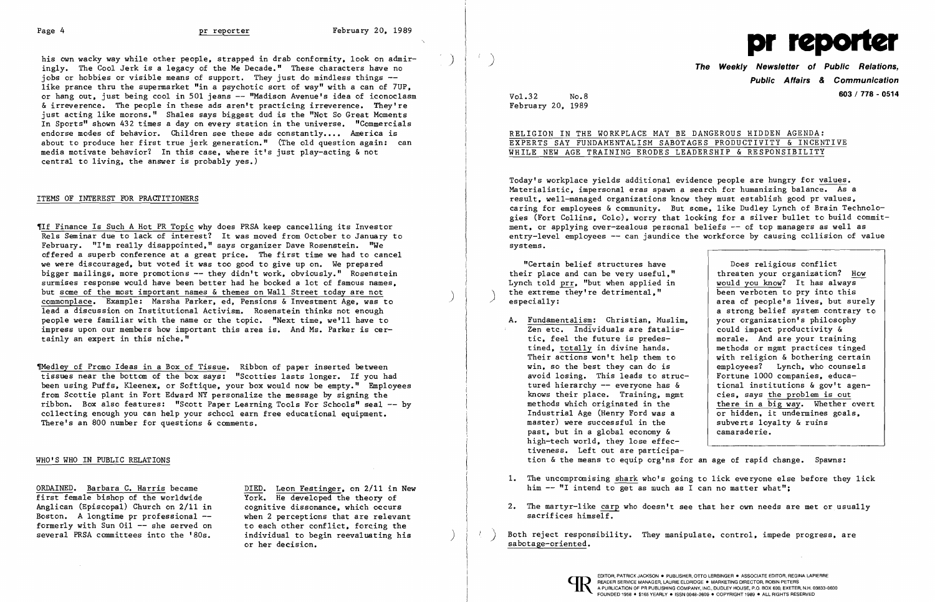his own wacky way while other people, strapped in drab conformity, look on admir-<br>ingly. The Cool Jerk is a legacy of the Me Decade." These characters have no iobs or hobbies or visible means of support. They just do mindless things -like prance thru the supermarket "in a psychotic sort of way" with a can of 7UP, or hang out, just being cool in 501 jeans -- "Madison Avenue's idea of iconoclasm & irreverence. The people in these ads aren't practicing irreverence. They're just acting like morons." Shales says biggest dud is the "Not So Great Moments In Sports" shown 432 times a day on every station in the universe. "Commercials endorse modes of behavior. Children see these ads constantly.... America is about to produce her first true jerk generation." (The old question again: can media motivate behavior? In this case, where it's just play-acting & not central to living, the answer is probably yes.)

TIf Finance Is Such A Hot PR Topic why does PRSA keep cancelling its Investor Re1s Seminar due to lack of interest? It was moved from October to January to February. "I'm really disappointed," says organizer Dave Rosenstein. "We offered a superb conference at a great price. The first time we had to cancel we were discouraged, but voted it was too good to give up on. We prepared bigger mailings, more promotions -- they didn't work, obviously." Rosenstein surmises response would have been better had he booked a lot of famous names,<br>but some of the most important names & themes on Wall Street today are not commonplace. Example: Marsha Parker, ed. Pensions & Investment Age. was to lead a discussion on Institutional Activism. Rosenstein thinks not enough people were familiar with the name or the topic. "Next time, we'll have to .<br>impress upon our members how important this area is. And Ms. Parker is certainly an expert in this niche."

### ITEMS OF INTEREST FOR PRACTITIONERS

Thed1ey of Promo Ideas in a Box of Tissue. Ribbon of paper inserted between tissues near the bottom of the box says: "Scotties lasts longer. If you had been using Puffs, Kleenex, or Softique, your box would now be empty." Employees from Scottie plant in Fort Edward NY personalize the message by signing the ribbon. Box also features: "Scott Paper Learning Tools For Schools" seal -- by collecting enough you can help your school earn free educational equipment. There's an 800 number for questions & comments.

ORDAINED. Barbara C. Harris became DIED. Leon Festinger, on 2/11 in New first female bishop of the worldwide<br>Anglican (Episcopal) Church on 2/11 in cognitive dissonance, which occurs Anglican (Episcopal) Church on  $2/11$  in Boston. A longtime pr professional  $--$ <br>formerly with Sun Oil  $--$  she served on to each other conflict, forcing the formerly with Sun Oil -- she served on to each other conflict, forcing the several PRSA committees into the '80s. individual to begin reevaluating his several PRSA committees into the '80s.

**Public Atlairs & Communication** Vo1.32 No.8 **603/ 778 - <sup>0514</sup>**

Does religious conflict threaten your organization? How<br>would you know? It has always a strong belief system contrary to<br>vour organization's philosophy with religion & bothering certain<br>employees? Lynch, who counsels there in a big way. Whether overt<br>or hidden, it undermines goals,

## WHO'S WHO IN PUBLIC RELATIONS

- A. Fundamentalism: Christian, Muslim, your organization's philosophy and the extent of the sension of the sension of  $\frac{1}{2}$  and  $\frac{1}{2}$  are fatalis-Zen etc. Individuals are fatalis-<br>tic. feel the future is predestic, feel the future is predes-<br>tined, totally in divine hands.<br>methods or mgmt practices tinge tined, totally in divine hands.<br>Their actions won't help them to with religion & bothering certain win, so the best they can do is employees? Lynch, who counsel avoid losing. This leads to strucavoid losing. This leads to struc-<br>tured hierarchy -- everyone has  $\&$  ional institutions  $\&$  gov't agentured hierarchy -- everyone has  $\&$  tional institutions  $\&$  gov't agen-<br>knows their place. Training, memt cies, says the problem is out knows their place. Training, mgmt<br>methods which originated in the Industrial Age (Henry Ford was a  $\overline{or}$  hidden, it undermines master) were successful in the subverts loyalty & ruins master) were successful in the  $\begin{array}{c|c} \n\text{master} & \text{subset} \\
\text{system} & \text{in} \\
\text{master} & \text{in} \\
\end{array}$ past, but in a global economy  $\&$ high-tech world, they lose effectiveness. Left out are participation & the means to equip org'ns for an age of rapid change. Spawns:
- 1. The uncompromising shark who's going to lick everyone else before they lick him  $-$  "I intend to get as much as I can no matter what":
- 2. The martyr-like carp who doesn't see that her own needs are met or usually sacrifices himself.
- Both reject responsibility. They manipulate, control, impede progress, are sabotage-oriented.

or her decision.



February 20. 1989

 $\mathcal{T}$  .

# RELIGION IN THE WORKPLACE MAY BE DANGEROUS HIDDEN AGENDA: EXPERTS SAY FUNDAMENTALISM SABOTAGES PRODUCTIVITY & INCENTIVE WHILE NEW AGE TRAINING ERODES LEADERSHIP & RESPONSIBILITY

Today's workplace yields additional evidence people are hungry for values. Materialistic, impersonal eras spawn a search for humanizing balance. As a result, well-managed organizations know they must establish good pr values, caring for employees & community. But some, like Dudley Lynch of Brain Technologies (Fort Collins, Colo), worry that looking for a silver bullet to build commitment, or applying over-zealous personal beliefs -- of top managers as well as entry-level employees  $-$  can jaundice the workforce by causing collision of value systems.

their place and can be very useful," "Certain belief structures have Lynch told  $\frac{\text{prr}}{\text{ptr}}$ , "but when applied in  $\frac{\text{would you know?}}{\text{been verboten to pry into this}}$ the extreme they're detrimental," been verboten to pry into this especially:<br>especially: area of people's lives, but surely especially: